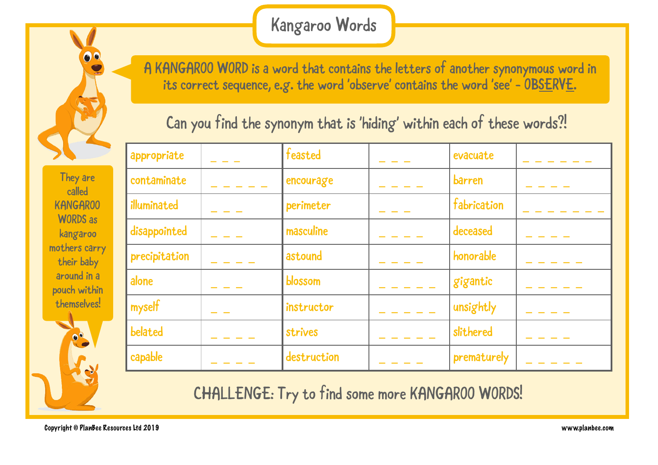## Kangaroo Words

**like please the correct sequence**, e. A KANGAROO WORD is a word that contains the letters of another synonymous word in its correct sequence, e.g. the word 'observe' contains the word 'see' –  $\texttt{OBS\text{ERVE}}$ .

Can you find the synonym that is 'hiding' within each of these words?!

| 54                          | appropriate   | feasted     | evacuate    |  |
|-----------------------------|---------------|-------------|-------------|--|
| They are<br>called          | contaminate   | encourage   | barren      |  |
| <b>KANGAR00</b>             | illuminated   | perimeter   | fabrication |  |
| <b>WORDS</b> as<br>kangaroo | disappointed  | masculine   | deceased    |  |
| others carry<br>their baby  | precipitation | astound     | honorable   |  |
| around in a<br>pouch within | alone         | blossom     | gigantic    |  |
| themselves!                 | myself        | instructor  | unsightly   |  |
| <b>PO</b>                   | belated       | strives     | slithered   |  |
| $\mathbf{V}$ of             | capable       | destruction | prematurely |  |

CHALLENGE: Try to find some more KANGAROO WORDS!

kangaroo mothers carry their baby around in a pouch within themselves!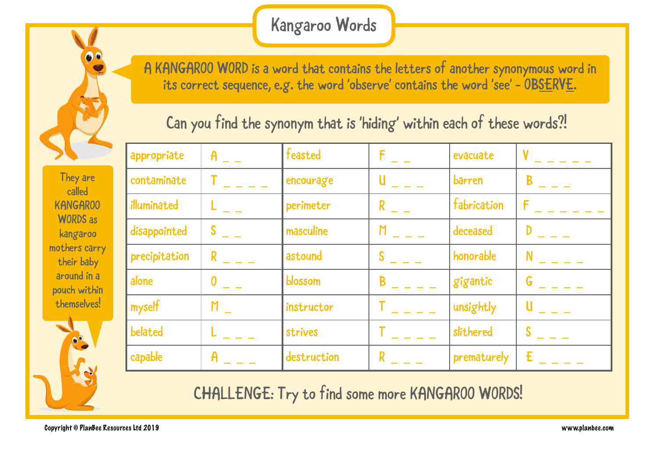## Kangaroo Words

**like please the correct sequence**, e. A KANGAROO WORD is a word that contains the letters of another synonymous word in its correct sequence, e.g. the word 'observe' contains the word 'see' –  $\texttt{OBS\text{ERVE}}$ .

Can you find the synonym that is 'hiding' within each of these words?!

|                             | appropriate   | $\mathsf{A}$ | feasted     | F              | evacuate    |   |
|-----------------------------|---------------|--------------|-------------|----------------|-------------|---|
| They are<br>called          | contaminate   |              | encourage   |                | barren      | B |
| <b>KANGAR00</b>             | illuminated   |              | perimeter   | R              | fabrication |   |
| <b>WORDS</b> as<br>kangaroo | disappointed  |              | masculine   | $\overline{M}$ | deceased    |   |
| others carry<br>their baby  | precipitation |              | astound     | S              | honorable   | N |
| around in a<br>pouch within | alone         | 0            | blossom     | B              | gigantic    | G |
| themselves!                 | myself        | M            | instructor  |                | unsightly   |   |
| <b>PO</b>                   | belated       |              | strives     |                | slithered   | ◠ |
| $\mathbf{V}$                | capable       |              | destruction |                | prematurely | F |

CHALLENGE: Try to find some more KANGAROO WORDS!

kangaroo mothers carry their baby around in a pouch within themselves!

86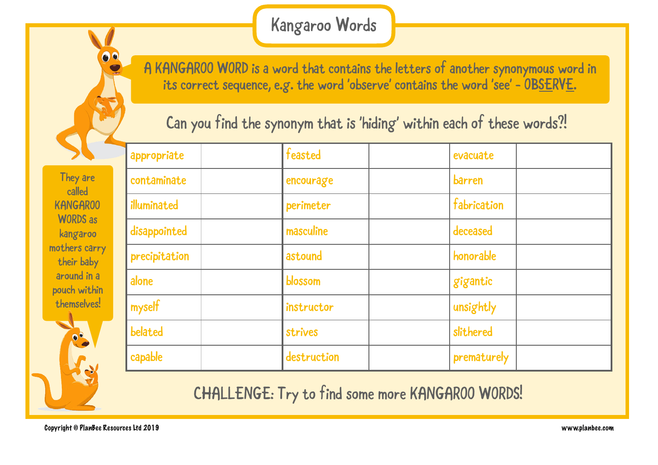## Kangaroo Words

**like please the correct sequence**, e. A KANGAROO WORD is a word that contains the letters of another synonymous word in its correct sequence, e.g. the word 'observe' contains the word 'see' –  $\texttt{OBS\text{ERVE}}$ .

Can you find the synonym that is 'hiding' within each of these words?!

**lovely** KANGAROO They are called WORDS as kangaroo mothers carry their baby around in a pouch within themselves!

00

| appropriate   | feasted     | evacuate    |
|---------------|-------------|-------------|
| contaminate   | encourage   | barren      |
| illuminated   | perimeter   | fabrication |
| disappointed  | masculine   | deceased    |
| precipitation | astound     | honorable   |
| alone         | blossom     | gigantic    |
| myself        | instructor  | unsightly   |
| belated       | strives     | slithered   |
| capable       | destruction | prematurely |

CHALLENGE: Try to find some more KANGAROO WORDS!

Copyright © PlanBee Resources Ltd 2019 www.planbee.com